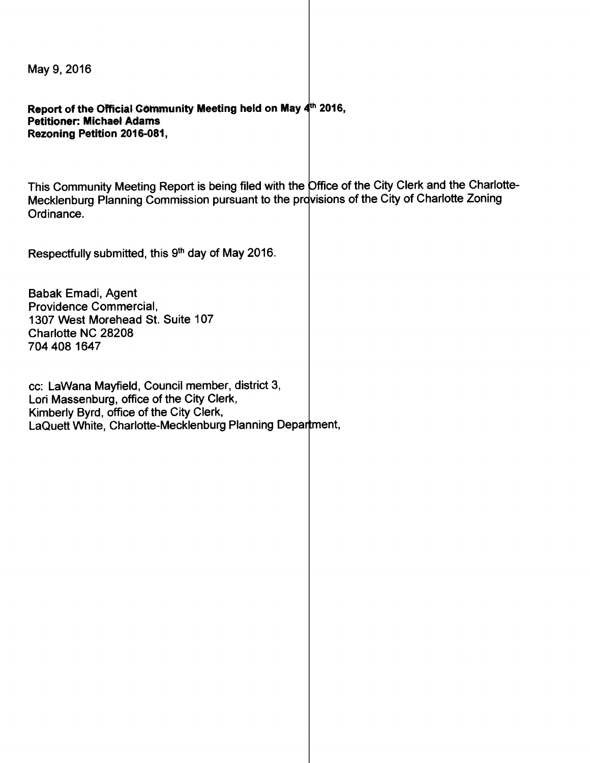May 9, 2016

Report of the Official Community Meeting held on May  $4<sup>th</sup>$  2016, Petitioner: Michael Adams Rezoning Petition 2016-081,

This Community Meeting Report is being filed with the Office of the City Clerk and the Charlotte-Mecklenburg Planning Commission pursuant to the provisions of the City of Charlotte Zoning Ordinance.

Respectfully submitted, this 9<sup>th</sup> day of May 2016.

Babak Emadi, Agent Providence Commercial, 1307 West Morehead St. Suite 107 Charlotte NC 28208 704 408 1647

cc: Lawana Mayfield, Council member, district 3, Lori Massenburg, office of the City Clerk, Kimberly Byrd, office of the City Clerk, LaQuett White, Charlotte-Mecklenburg Planning Department,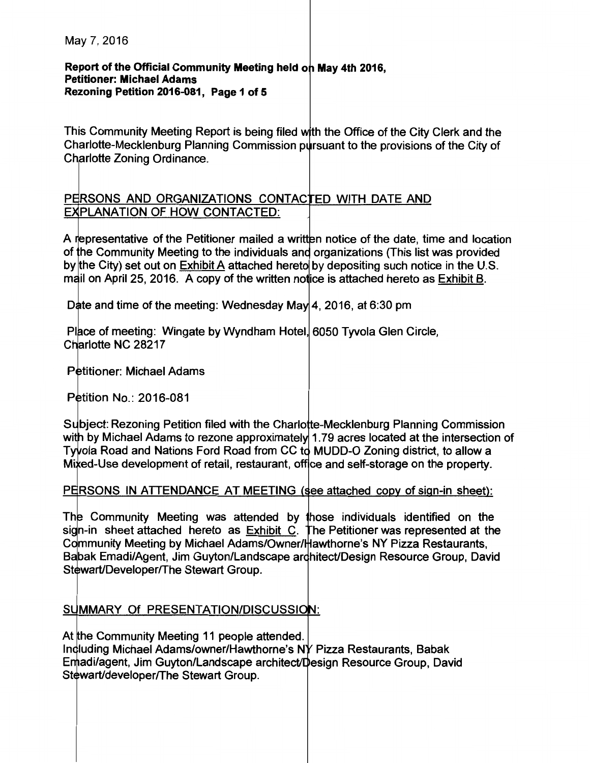#### Report of the Official Community Meeting held on May 4th 2016, Petitioner: Michael Adams Rezoning Petition 2016-081, Page 1 of 5

This Community Meeting Report is being filed with the Office of the City Clerk and the Charlotte-Mecklenburg Planning Commission pursuant to the provisions of the City of Charlotte Zoning Ordinance.

### PERSONS AND ORGANIZATIONS CONTACTED WITH DATE AND **EXPLANATION OF HOW CONTACTED:**

A representative of the Petitioner mailed a written notice of the date, time and location of the Community Meeting to the individuals and organizations (This list was provided by the City) set out on Exhibit A attached hereto by depositing such notice in the U.S. mail on April 25, 2016. A copy of the written notice is attached hereto as Exhibit B.

Date and time of the meeting: Wednesday May 4, 2016, at 6:30 pm

Place of meeting: Wingate by Wyndham Hotel, 6050 Tyvola Glen Circle, Charlotte NC 28217

Petitioner: Michael Adams

Petition No.: 2016-081

Subject: Rezoning Petition filed with the Charlotte-Mecklenburg Planning Commission with by Michael Adams to rezone approximately 1.79 acres located at the intersection of Tyvola Road and Nations Ford Road from CC to MUDD-O Zoning district, to allow a Mixed-Use development of retail, restaurant, office and self-storage on the property.

### PERSONS IN ATTENDANCE AT MEETING (see attached copy of sign-in sheet):

The Community Meeting was attended by those individuals identified on the sign-in sheet attached hereto as Exhibit C. The Petitioner was represented at the Community Meeting by Michael Adams/Owner/ Hawthorne's NY Pizza Restaurants, Babak Emadi/Agent, Jim Guyton/Landscape architect/Design Resource Group, David Stewart/Developer/The Stewart Group.

### SUMMARY Of PRESENTATION/DISCUSSION:

At the Community Meeting 11 people attended. Induding Michael Adams/owner/Hawthorne's NY Pizza Restaurants, Babak Emadi/agent, Jim Guyton/Landscape architect/Design Resource Group, David Stewart/developer/The Stewart Group.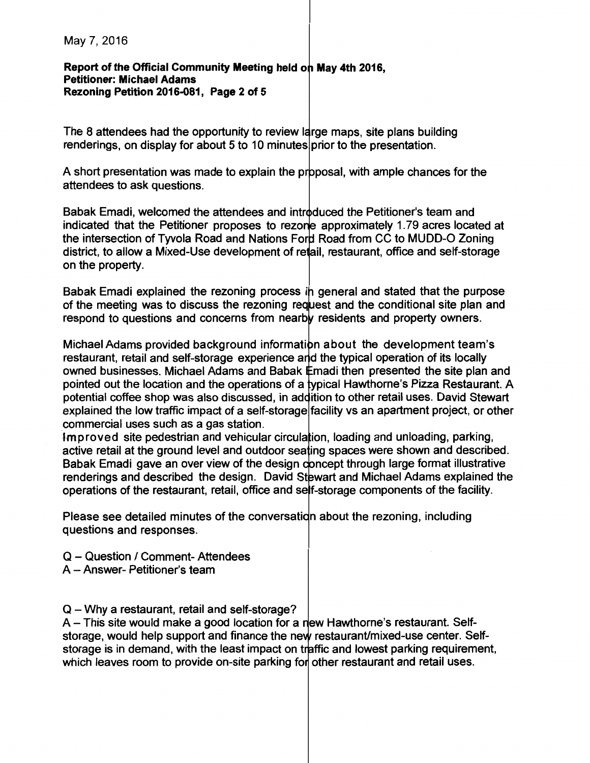**Report of the Official Community Meeting held on May 4th 2016, Petitioner: Michael Adams Rezoning Petition 2016-081, Page 2 of 5** 

The 8 attendees had the opportunity to review large maps, site plans building renderings, on display for about 5 to 10 minutes prior to the presentation.

A short presentation was made to explain the proposal, with ample chances for the attendees to ask questions.

Babak Emadi, welcomed the attendees and introduced the Petitioner's team and indicated that the Petitioner proposes to rezone approximately 1.79 acres located at the intersection of Tyvola Road and Nations Ford Road from CC to MUDD-O Zoning district, to allow a Mixed-Use development of retail, restaurant, office and self-storage on the property.

Babak Emadi explained the rezoning process in general and stated that the purpose of the meeting was to discuss the rezoning request and the conditional site plan and respond to questions and concerns from nearby residents and property owners.

Michael Adams provided background information about the development team's restaurant, retail and self-storage experience and the typical operation of its locally owned businesses. Michael Adams and Babak Emadi then presented the site plan and pointed out the location and the operations of a typical Hawthorne's Pizza Restaurant. A potential coffee shop was also discussed, in addition to other retail uses. David Stewart explained the low traffic impact of a self-storage facility vs an apartment project, or other commercial uses such as a gas station.

Improved site pedestrian and vehicular circulation, loading and unloading, parking, active retail at the ground level and outdoor seating spaces were shown and described. Babak Emadi gave an over view of the design concept through large format illustrative renderings and described the design. David Stewart and Michael Adams explained the operations of the restaurant, retail, office and self-storage components of the facility.

Please see detailed minutes of the conversation about the rezoning, including questions and responses.

- Q Question / Comment- Attendees
- A Answer- Petitioner's team
- Q Why a restaurant, retail and self-storage?

 $A$  – This site would make a good location for a new Hawthorne's restaurant. Selfstorage, would help support and finance the new restaurant/mixed-use center. Selfstorage is in demand, with the least impact on traffic and lowest parking requirement, which leaves room to provide on-site parking for other restaurant and retail uses.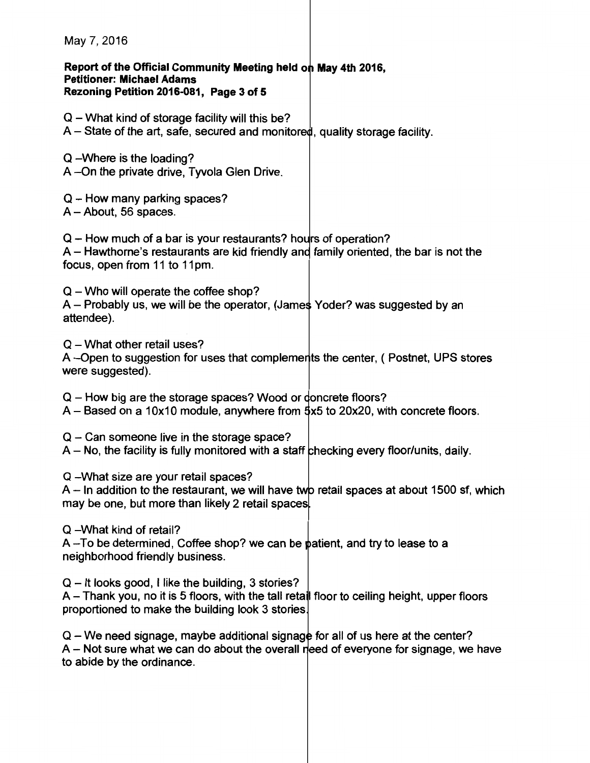Report of the Official Community Meeting held on May 4th 2016, Petitioner: Michael Adams Rezoning Petition 2016-081, Page 3 of 5

- $Q$  What kind of storage facility will this be?
- $A -$  State of the art, safe, secured and monitored, quality storage facility.
- Q -Where is the loading? A --On the private drive, Tyvola Glen Drive.
- $Q$  How many parking spaces?
- $A -$ About, 56 spaces.

 $Q$  – How much of a bar is your restaurants? hours of operation?

 $A$  – Hawthorne's restaurants are kid friendly and family oriented, the bar is not the focus, open from 11 to 11pm.

 $Q$  – Who will operate the coffee shop?  $A$  – Probably us, we will be the operator, (James Yoder? was suggested by an attendee).

 $Q$  – What other retail uses?

A-Open to suggestion for uses that complements the center, ( Postnet, UPS stores were suggested).

 $Q$  – How big are the storage spaces? Wood or doncrete floors?

- $A -$  Based on a 10x10 module, anywhere from  $\frac{4}{5}x5$  to 20x20, with concrete floors.
- $Q$  Can someone live in the storage space?
- $A No$ , the facility is fully monitored with a staff checking every floor/units, daily.

Q -What size are your retail spaces?

 $A$  – In addition to the restaurant, we will have two retail spaces at about 1500 sf, which may be one, but more than likely 2 retail spaces

Q -What kind of retail?

 $A$ -To be determined, Coffee shop? we can be patient, and try to lease to a neighborhood friendly business.

 $Q - It$  looks good, I like the building, 3 stories?

 $A$  – Thank you, no it is 5 floors, with the tall retail floor to ceiling height, upper floors proportioned to make the building look 3 stories

 $Q - We need signage$ , maybe additional signage for all of us here at the center?  $A - Not$  sure what we can do about the overall reed of everyone for signage, we have to abide by the ordinance.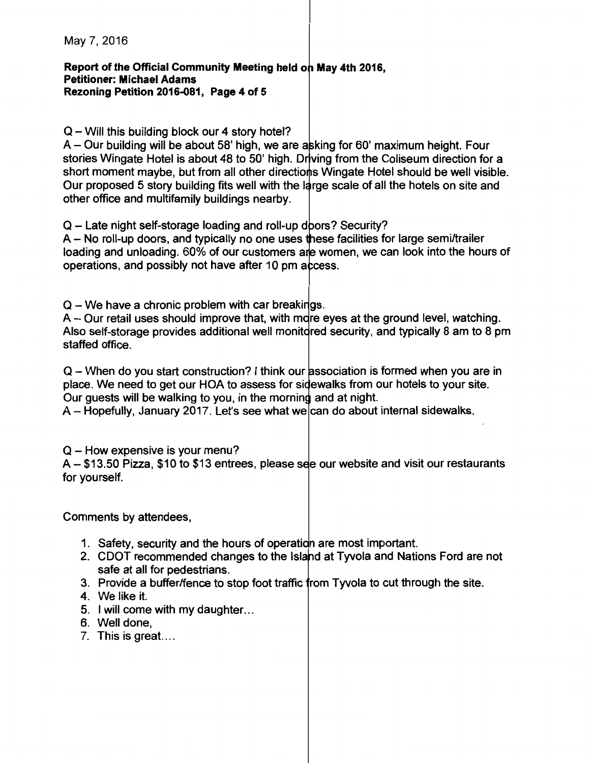#### **Report of the Official Community Meeting held on May 4th 2016, Petitioner: Michael Adams Rezoning Petition 2016-081, Page 4 of 5**

### $Q$  – Will this building block our 4 story hotel?

 $A -$  Our building will be about 58' high, we are a king for 60' maximum height. Four stories Wingate Hotel is about 48 to 50' high. Driving from the Coliseum direction for a short moment maybe, but from all other directions Wingate Hotel should be well visible. Our proposed 5 story building fits well with the large scale of all the hotels on site and other office and multifamily buildings nearby.

Q - Late night self-storage loading and roll-up doors? Security?

A - No roll-up doors, and typically no one uses these facilities for large semi/trailer loading and unloading. 60% of our customers are women, we can look into the hours of operations, and possibly not have after 10 pm access.

 $Q$  – We have a chronic problem with car breakings.

 $A -$  Our retail uses should improve that, with m re eyes at the ground level, watching. Also self-storage provides additional well monit dred security, and typically 8 am to 8 pm staffed office.

Q - When do you start construction? I think our association is formed when you are in place. We need to get our HOA to assess for sidewalks from our hotels to your site. Our guests will be walking to you, in the morning and at night.

 $A$  – Hopefully, January 2017. Let's see what we can do about internal sidewalks.

 $Q$  – How expensive is your menu?

 $A - $13.50$  Pizza, \$10 to \$13 entrees, please see our website and visit our restaurants for yourself.

Comments by attendees,

- 1. Safety, security and the hours of operation are most important.
- 2. CDOT recommended changes to the Island at Tyvola and Nations Ford are not safe at all for pedestrians.
- 3. Provide a buffer/fence to stop foot traffic from Tyvola to cut through the site.
- 4. We like it.
- 5. I will come with my daughter. ..
- 6. Well done,
- 7. This is great. ...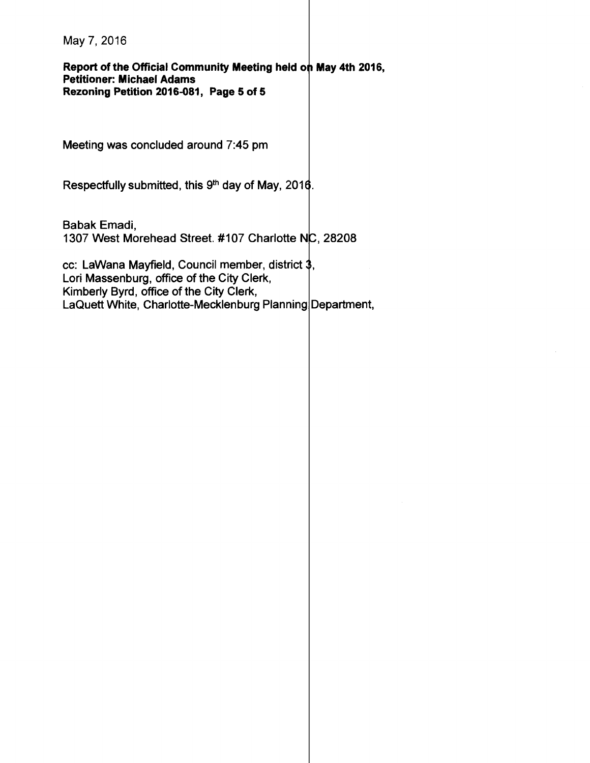Report of the Official Community Meeting held on May 4th 2016, Petitioner: Michael Adams Rezoning Petition 2016-081, Page 5 of 5

Meeting was concluded around 7:45 pm

Respectfully submitted, this  $9<sup>th</sup>$  day of May, 2016.

Babak Emadi, 1307 West Morehead Street. #107 Charlotte NC, 28208

cc: LaWana Mayfield, Council member, district  $3$ , Lori Massenburg, office of the City Clerk, Kimberly Byrd, office of the City Clerk, LaQuett White, Charlotte-Mecklenburg Planning Department,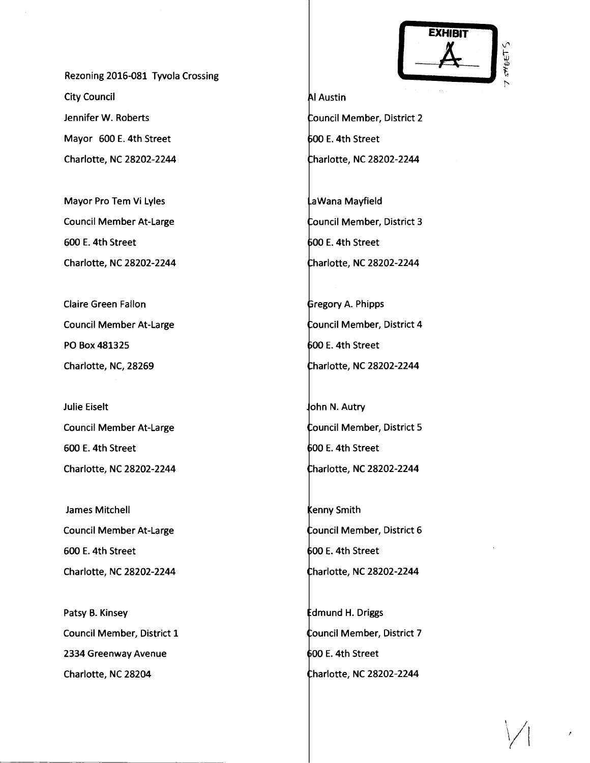Rezoning 2016-081 Tyvola Crossing City Council Jennifer W. Roberts Mayor 600 E. 4th Street Charlotte, NC 28202-2244

Mayor Pro Tem Vi Lyles Council Member At-Large 600 E. 4th Street Charlotte, NC 28202-2244

Claire Green Fallon Council Member At-Large PO Box 481325 Charlotte, NC, 28269

Julie Eiselt Council Member At-Large 600 E. 4th Street Charlotte, NC 28202-2244

James Mitchell Council Member At-Large 600 E. 4th Street Charlotte, NC 28202-2244

Patsy B. Kinsey Council Member, District 1 2334 Greenway Avenue Charlotte, NC 28204



**Al Austin** Council Member, District 2 600 E. 4th Street harlotte, NC 28202-2244

aWana Mayfield Council Member, District 3 00 E. 4th Street harlotte, NC 28202-2244

**Gregory A. Phipps** Council Member, District 4  $600$  E. 4th Street harlotte, NC 28202-2244

ohn N. Autry Council Member, District 5 00 E. 4th Street harlotte, NC 28202-2244

**Kenny Smith** ouncil Member, District 6 00 E. 4th Street harlotte, NC 28202-2244

dmund H. Driggs Council Member, District 7 00 E. 4th Street harlotte, NC 28202-2244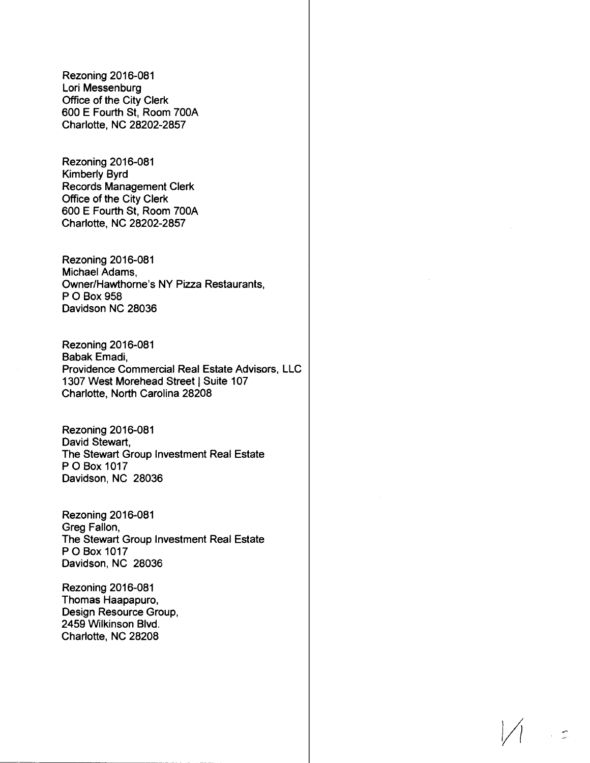Rezoning 2016-081 Lori Messenburg Office of the City Clerk 600 E Fourth St, Room 700A Charlotte, NC 28202-2857

Rezoning 2016-081 Kimberly Byrd Records Management Clerk Office of the City Clerk 600 E Fourth St, Room 700A Charlotte, NC 28202-2857

Rezoning 2016-081 Michael Adams, Owner/Hawthorne's NY Pizza Restaurants, P 0 Box 958 Davidson NC 28036

Rezoning 2016-081 Babak Emadi, Providence Commercial Real Estate Advisors, LLC 1307 West Morehead Street | Suite 107 Charlotte, North Carolina 28208

Rezoning 2016-081 David Stewart, The Stewart Group Investment Real Estate P 0 Box 1017 Davidson, NC 28036

Rezoning 2016-081 Greg Fallon, The Stewart Group Investment Real Estate P 0 Box 1017 Davidson, NC 28036

Rezoning 2016-081 Thomas Haapapuro, Design Resource Group, 2459 Wilkinson Blvd. Charlotte, NC 28208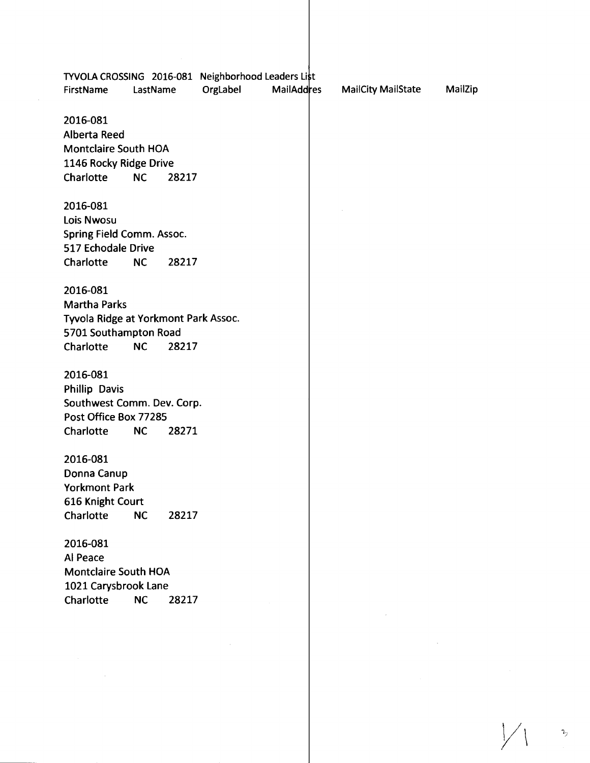|                                      |           |       | TYVOLA CROSSING 2016-081 Neighborhood Leaders List |                   |                           |         |
|--------------------------------------|-----------|-------|----------------------------------------------------|-------------------|---------------------------|---------|
| FirstName                            | LastName  |       | OrgLabel                                           | <b>MailAddres</b> | <b>MailCity MailState</b> | MailZip |
|                                      |           |       |                                                    |                   |                           |         |
| 2016-081                             |           |       |                                                    |                   |                           |         |
| <b>Alberta Reed</b>                  |           |       |                                                    |                   |                           |         |
| <b>Montclaire South HOA</b>          |           |       |                                                    |                   |                           |         |
| 1146 Rocky Ridge Drive               |           |       |                                                    |                   |                           |         |
| Charlotte                            | NC        | 28217 |                                                    |                   |                           |         |
| 2016-081                             |           |       |                                                    |                   |                           |         |
| <b>Lois Nwosu</b>                    |           |       |                                                    |                   |                           |         |
| Spring Field Comm. Assoc.            |           |       |                                                    |                   |                           |         |
| 517 Echodale Drive                   |           |       |                                                    |                   |                           |         |
| Charlotte                            | NC        | 28217 |                                                    |                   |                           |         |
| 2016-081                             |           |       |                                                    |                   |                           |         |
| <b>Martha Parks</b>                  |           |       |                                                    |                   |                           |         |
| Tyvola Ridge at Yorkmont Park Assoc. |           |       |                                                    |                   |                           |         |
| 5701 Southampton Road                |           |       |                                                    |                   |                           |         |
| Charlotte                            | <b>NC</b> | 28217 |                                                    |                   |                           |         |
| 2016-081                             |           |       |                                                    |                   |                           |         |
| <b>Phillip Davis</b>                 |           |       |                                                    |                   |                           |         |
| Southwest Comm. Dev. Corp.           |           |       |                                                    |                   |                           |         |
| Post Office Box 77285                |           |       |                                                    |                   |                           |         |
| Charlotte                            | <b>NC</b> | 28271 |                                                    |                   |                           |         |
| 2016-081                             |           |       |                                                    |                   |                           |         |
| Donna Canup                          |           |       |                                                    |                   |                           |         |
| <b>Yorkmont Park</b>                 |           |       |                                                    |                   |                           |         |
| 616 Knight Court                     |           |       |                                                    |                   |                           |         |
| Charlotte                            | <b>NC</b> | 28217 |                                                    |                   |                           |         |
| 2016-081                             |           |       |                                                    |                   |                           |         |
| Al Peace                             |           |       |                                                    |                   |                           |         |
| Montclaire South HOA                 |           |       |                                                    |                   |                           |         |
| 1021 Carysbrook Lane                 |           |       |                                                    |                   |                           |         |
| Charlotte                            | <b>NC</b> | 28217 |                                                    |                   |                           |         |
|                                      |           |       |                                                    |                   |                           |         |
|                                      |           |       |                                                    |                   |                           |         |
|                                      |           |       |                                                    |                   |                           |         |
|                                      |           |       |                                                    |                   |                           |         |
|                                      |           |       |                                                    |                   |                           |         |

 $\bigvee$  $\frac{1}{2}$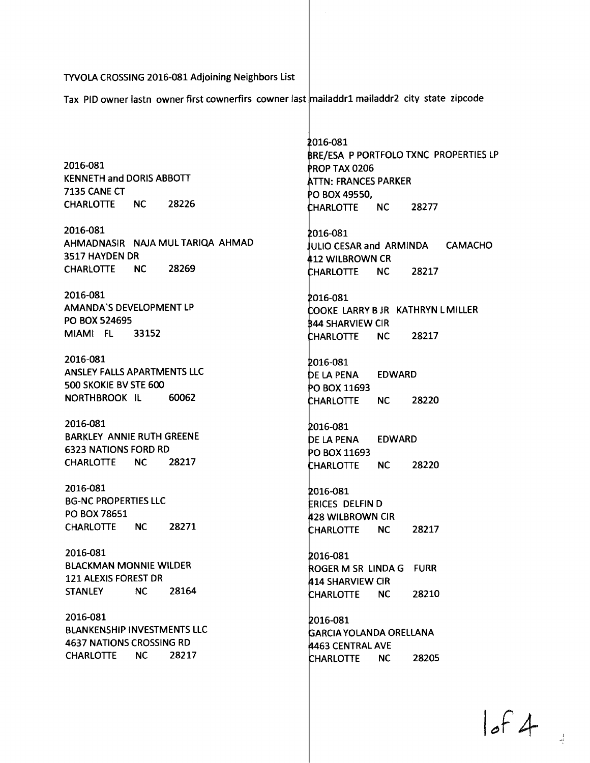TYVOLA CROSSING 2016-081 Adjoining Neighbors List

Tax PID owner lastn owner first cownerfirs cowner last mailaddr1 mailaddr2 city state zipcode

2016-081 KENNETH and DORIS ABBOTI 7135 CANE CT CHARLOTIE NC 28226

2016-081 AHMADNASIR NAJA MUL TARIQA AHMAD 3517 HAYDEN DR CHARLOTIE NC 28269

2016-081 AMANDA'S DEVELOPMENT LP PO BOX 524695 MIAMI FL 33152

2016-081 ANSLEY FALLS APARTMENTS LLC 500 SKOKIE BV STE 600 NORTHBROOK IL 60062

2016-081 BARKLEY ANNIE RUTH GREENE 6323 NATIONS FORD RD CHARLOTIE NC 28217

2016-081 BG-NC PROPERTIES LLC PO BOX 78651 CHARLOTIE NC 28271

2016-081 BLACKMAN MONNIE WILDER 121 ALEXIS FOREST DR STANLEY NC 28164

2016-081 BLANKENSHIP INVESTMENTS LLC 4637 NATIONS CROSSING RD CHARLOTIE NC 28217

016-081 BRE/ESA P PORTFOLO TXNC PROPERTIES LP PROP TAX 0206 **ATTN: FRANCES PARKER** 0 BOX49550, HARLOTIE NC 28277

016-081 ULIO CESAR and ARMINDA CAMACHO 12 WILBROWN CR HARLOTIE NC 28217

016-081 OOKE LARRY B JR KATHRYN L MILLER 44 SHARVIEW CIR NC 28217 CHARLOTTE

2016-081 DE LA PENA EDWARD PO BOX 11693 **CHARLOTTE** NC 28220

016-081 DE LA PENA PO BOX 11693 CHARLOTTE EDWARD NC 28220

016-081 RICES DELFIN D 28 WILBROWN CIR CHARLOTTE NC 28217

016-081 ROGER M SR LINDA G FURR 14 SHARVIEW CIR HARLOTIE NC 28210

016-081 ARCIA YOLANDA ORELLANA 463 CENTRAL AVE HARLOTIE NC 28205

of  $4$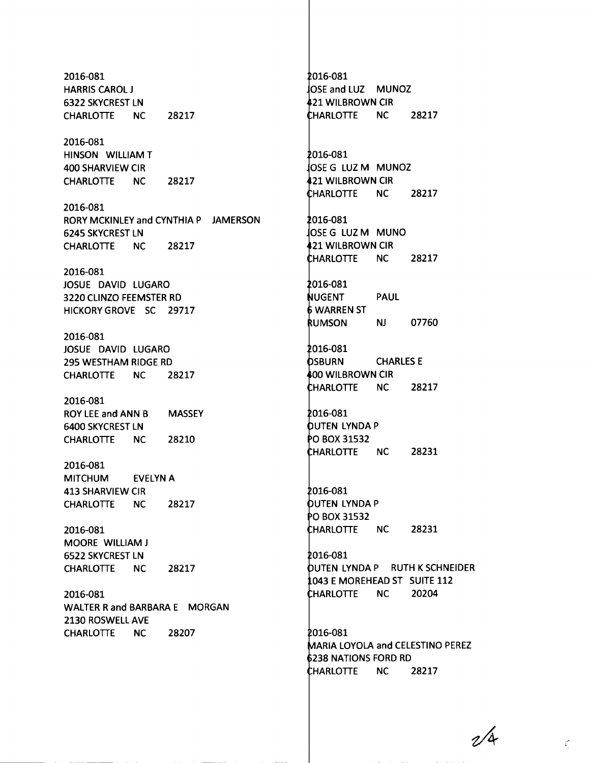2016-081 HARRIS CAROL J 6322 SKYCREST LN CHARLOTIE NC 2016-081 HINSON WILLIAM T 400 SHARVIEW CIR 28217 CHARLOTIE NC 28217 2016-081 RORY MCKINLEY and CYNTHIA P JAMERSON 6245 SKYCREST LN CHARLOTIE NC 28217 2016-081 JOSUE DAVID LUGARO 3220 CLINZO FEEMSTER RD HICKORY GROVE SC 29717 2016-081 JOSUE DAVID LUGARO 295 WESTHAM RIDGE RD CHARLOTIE NC 28217 2016-081 ROY LEE and ANN B MASSEY 6400 SKYCREST LN CHARLOTIE NC 28210 2016-081 MITCHUM EVELYN A 413 SHARVIEW CIR CHARLOTIE NC 2016-081 MOORE WILLIAM J 6522 SKYCREST LN CHARLOTIE NC 2016-081 28217 28217 WALTER Rand BARBARA E MORGAN 2130 ROSWELL AVE CHARLOTIE NC 28207

016-081 OSE and LUZ MUNOZ 21 WILBROWN CIR HARLOTIE NC 28217 016-081 OSE G LUZM MUNOZ 21 WILBROWN CIR HAR LO TIE NC 28217 016-081 OSE G LUZ M MUNO 21 WILBROWN CIR CHARLOTTE NC 28217 016-081 UGENT PAUL WARREN ST **RUMSON** NJ 07760 2016-081 **OSBURN CHARLES E 400 WILBROWN CIR** HARLOTIE NC 28217 016-081 UTEN LYNDA P 0 BOX 31532 HARLOTIE NC 28231 2016-081 UTEN LYNDA P 0 BOX 31532 HARLOTIE NC 28231 2016-081 UTEN LYNDA P RUTH K SCHNEIDER 043 E MOREHEAD ST SUITE 112 HARLOTIE NC 20204 2016-081 ARIA LOYOLA and CELESTINO PEREZ 238 NATIONS FORD RD HARLOTIE NC 28217

 $\eta/\alpha$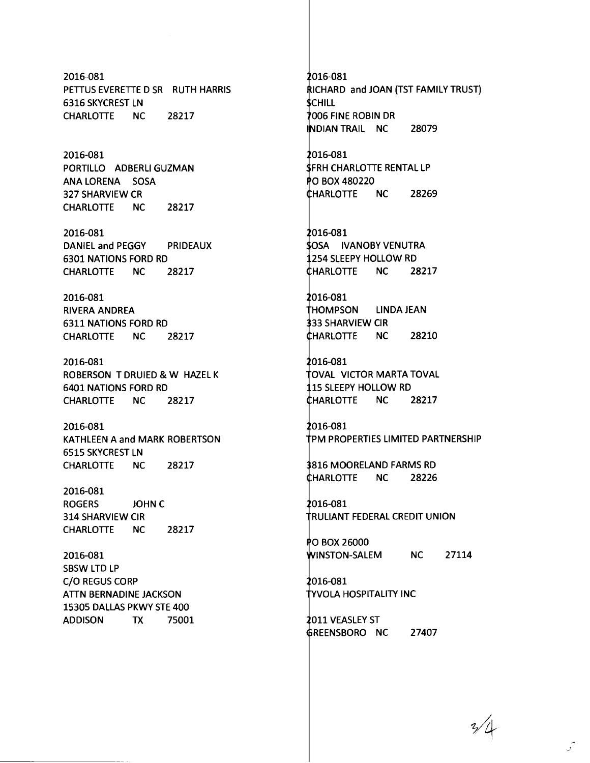2016-081 PETTUS EVERETTE D SR RUTH HARRIS 6316 SKYCREST LN CHARLOTTE NC 28217

2016-081 PORTILLO ADBERLI GUZMAN ANA LORENA SOSA 327 SHARVIEW CR CHARLOTIE NC 28217

2016-081 DANIEL and PEGGY PRIDEAUX 6301 NATIONS FORD RD CHARLOTTE NC 28217

2016-081 RIVERA ANDREA 6311 NATIONS FORD RD CHARLOTIE NC 28217

2016-081 ROBERSON T DRUIED & W HAZEL K 6401 NATIONS FORD RD CHARLOTTE NC 28217

2016-081 KATHLEEN A and MARK ROBERTSON 6515 SKYCREST LN CHARLOTTE NC 28217

2016-081 ROGERS JOHNC 314 SHARVIEW CIR CHARLOTTE NC 28217

2016-081 SBSW LTD LP C/O REGUS CORP ATTN BERNADINE JACKSON 15305 DALLAS PKWY STE 400 ADDISON TX 75001 016-081 RICHARD and JOAN (TST FAMILY TRUST) **SCHILL** 006 FINE ROBIN DR INDIAN TRAIL NC 28079

2016-081 FRH CHARLOTIE RENTAL LP 0 BOX480220 HARLOTIE NC 28269

016-081 **SOSA IVANOBY VENUTRA** 254 SLEEPY HOLLOW RD HARLOTIE NC 28217

016-081 HOMPSON LINDAJEAN 33 SHARVIEW CIR HARLOTIE NC 28210

016-081 TOVAL VICTOR MARTA TOVAL 15 SLEEPY HOLLOW RD HARLOTIE NC 28217

016-081 PM PROPERTIES LIMITED PARTNERSHIP

816 MOORELAND FARMS RD HARLOTIE NC 28226

016-081 RULIANT FEDERAL CREDIT UNION

PO BOX 26000 INSTON-SALEM NC 27114

2016-081 VOLA HOSPITALITY INC

011 VEASLEY ST REENSBORO NC 27407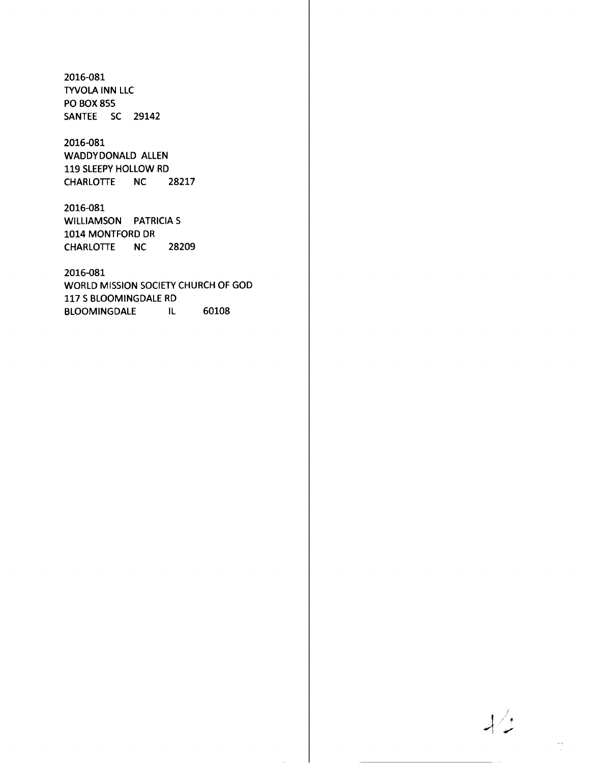2016-081 TYVOLA INN LLC PO BOX 855 SANTEE SC 29142

#### 2016-081 WADDYDONALD ALLEN 119 SLEEPY HOLLOW RD CHARLOTTE NC 28217

2016-081 WILLIAMSON PATRICIA S 1014 MONTFORD DR CHARLOTIE NC 28209

2016-081 WORLD MISSION SOCIETY CHURCH OF GOD 117 S BLOOMINGDALE RD BLOOMINGDALE IL 60108

 $\sqrt{4}$ 

 $\frac{1}{\sqrt{2}}$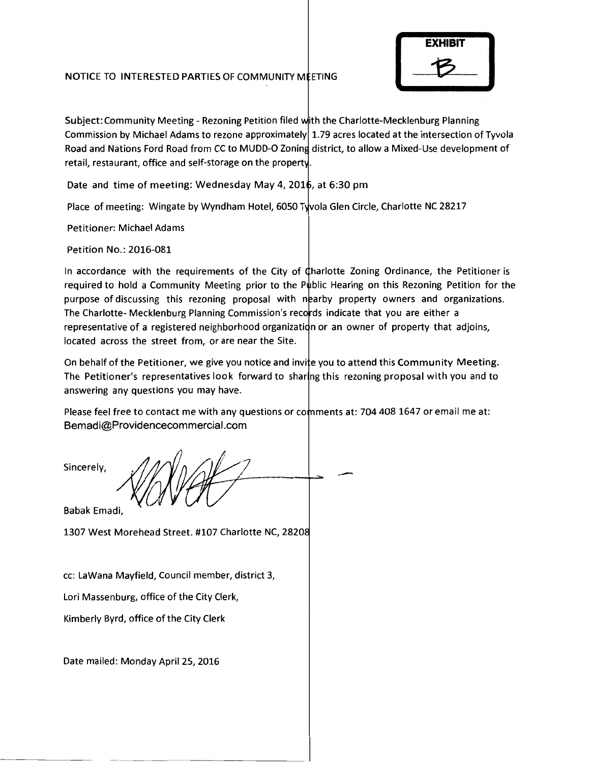#### NOTICE TO INTERESTED PARTIES OF COMMUNITY M ETING



Subject: Community Meeting - Rezoning Petition filed with the Charlotte-Mecklenburg Planning Commission by Michael Adams to rezone approximately 1.79 acres located at the intersection of Tyvola Road and Nations Ford Road from CC to MUDD-O Zoning district, to allow a Mixed-Use development of retail, restaurant, office and self-storage on the property.

Date and time of meeting: Wednesday May 4, 2016, at 6:30 pm

Place of meeting: Wingate by Wyndham Hotel, 6050 Tyvola Glen Circle, Charlotte NC 28217

Petitioner: Michael Adams

Petition No.: 2016-081

In accordance with the requirements of the City of Charlotte Zoning Ordinance, the Petitioner is required to hold a Community Meeting prior to the Public Hearing on this Rezoning Petition for the purpose of discussing this rezoning proposal with nearby property owners and organizations. The Charlotte- Mecklenburg Planning Commission's records indicate that you are either a representative of a registered neighborhood organizatidn or an owner of property that adjoins, located across the street from, or are near the Site.

On behalf of the Petitioner, we give you notice and invite you to attend this Community Meeting. The Petitioner's representatives look forward to sharing this rezoning proposal with you and to answering any questions you may have.

Please feel free to contact me with any questions or comments at: 704 408 1647 or email me at: Bemadi@Providencecommercial.com

Sincerely, *l* 

Babak Emadi,

1307 West Morehead Street. #107 Charlotte NC, 2820

cc: Lawana Mayfield, Council member, district 3,

Lori Massenburg, office of the City Clerk,

Kimberly Byrd, office of the City Clerk

Date mailed: Monday April 25, 2016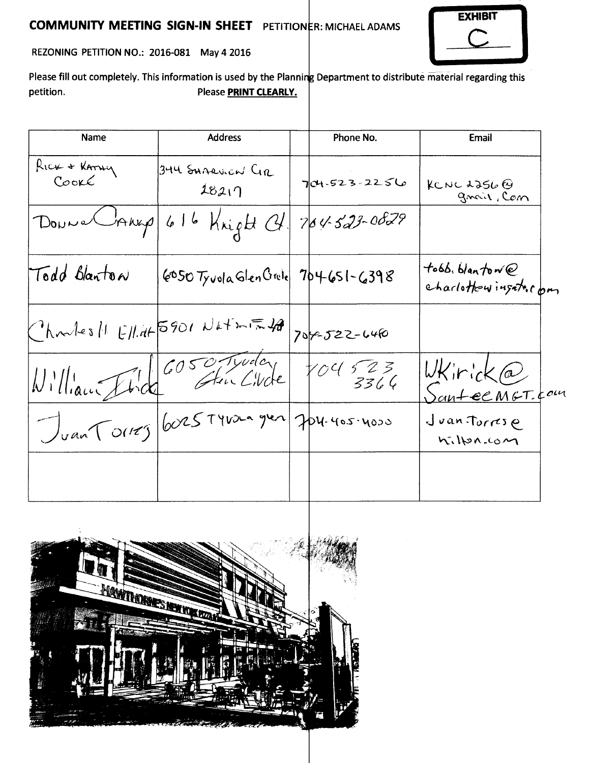## **COMMUNITY MEETING SIGN-IN SHEET** PETITIONER: MICHAEL ADAMS



REZONING PETITION NO.: 2016-081 May 4 2016

Please fill out completely. This information is used by the Planning Department to distribute material regarding this petition. Please **PRINT CLEARLY.** 

| <b>Name</b>           | <b>Address</b>                          | Phone No.       | Email                                   |
|-----------------------|-----------------------------------------|-----------------|-----------------------------------------|
| RICK + KATHY<br>Cooke | 344 SHARVIEN CIR<br>28217               | 704.523.2256    | KCNC 2256 $\Theta$<br>gnair, Com        |
|                       | Donne Crang 616 Kright Ct.              | $764523 - 0829$ |                                         |
| Todd Blanton          | $6050$ Tyvola Glen Grole 704651-6398    |                 | tobb. blantow@<br>charlottowingsto, com |
|                       | $Chmles  E  dt5901Ntlim724 7090222-046$ |                 |                                         |
|                       | William Fired 6050 Truder               | 104523          | $W$ Kirick@<br>Santee MGT.com           |
|                       | Juan Tours 6025 Tyron gren Jerusines    |                 | Juan Torrese<br>hilpn.com               |
|                       |                                         |                 |                                         |